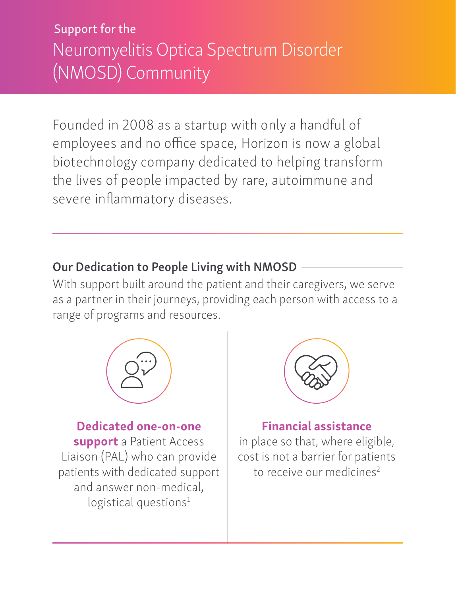Support for the Neuromyelitis Optica Spectrum Disorder (NMOSD) Community

Founded in 2008 as a startup with only a handful of employees and no office space, Horizon is now a global biotechnology company dedicated to helping transform the lives of people impacted by rare, autoimmune and severe inflammatory diseases.

#### Our Dedication to People Living with NMOSD

With support built around the patient and their caregivers, we serve as a partner in their journeys, providing each person with access to a range of programs and resources.



Dedicated one-on-one support a Patient Access Liaison (PAL) who can provide patients with dedicated support and answer non-medical,  $logistical$  questions<sup>1</sup>



#### Financial assistance

in place so that, where eligible, cost is not a barrier for patients to receive our medicines<sup>2</sup>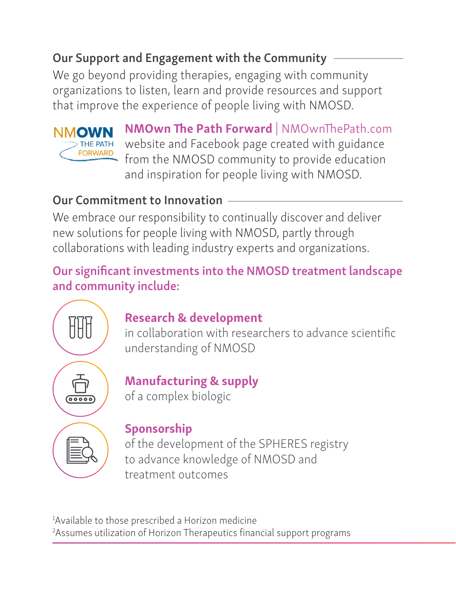## Our Support and Engagement with the Community

We go beyond providing therapies, engaging with community organizations to listen, learn and provide resources and support that improve the experience of people living with NMOSD.



NMOwn The Path Forward | NMOwnThePath.com website and Facebook page created with guidance from the NMOSD community to provide education and inspiration for people living with NMOSD.

## Our Commitment to Innovation

We embrace our responsibility to continually discover and deliver new solutions for people living with NMOSD, partly through collaborations with leading industry experts and organizations.

Our significant investments into the NMOSD treatment landscape and community include:



## Research & development

in collaboration with researchers to advance scientific understanding of NMOSD



# Manufacturing & supply

of a complex biologic



## Sponsorship

of the development of the SPHERES registry to advance knowledge of NMOSD and treatment outcomes

<sup>1</sup>Available to those prescribed a Horizon medicine <sup>2</sup>Assumes utilization of Horizon Therapeutics financial support programs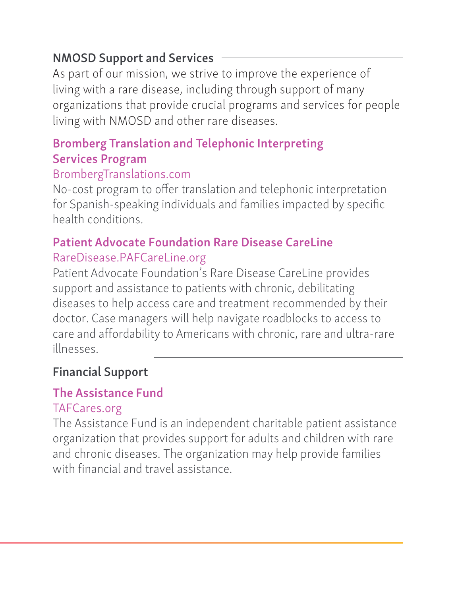### NMOSD Support and Services

As part of our mission, we strive to improve the experience of living with a rare disease, including through support of many organizations that provide crucial programs and services for people living with NMOSD and other rare diseases.

## Bromberg Translation and Telephonic Interpreting Services Program

#### BrombergTranslations.com

No-cost program to offer translation and telephonic interpretation for Spanish-speaking individuals and families impacted by specific health conditions.

#### Patient Advocate Foundation Rare Disease CareLine RareDisease.PAFCareLine.org

Patient Advocate Foundation's Rare Disease CareLine provides support and assistance to patients with chronic, debilitating diseases to help access care and treatment recommended by their doctor. Case managers will help navigate roadblocks to access to care and affordability to Americans with chronic, rare and ultra-rare illnesses.

## Financial Support

## The Assistance Fund

#### TAFCares.org

The Assistance Fund is an independent charitable patient assistance organization that provides support for adults and children with rare and chronic diseases. The organization may help provide families with financial and travel assistance.